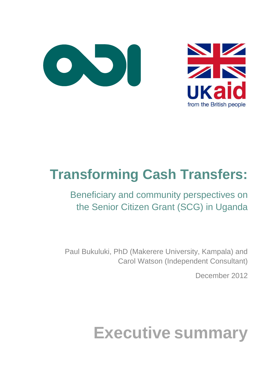



## **Transforming Cash Transfers:**

## Beneficiary and community perspectives on the Senior Citizen Grant (SCG) in Uganda

Paul Bukuluki, PhD (Makerere University, Kampala) and Carol Watson (Independent Consultant)

December 2012

# **Executive summary**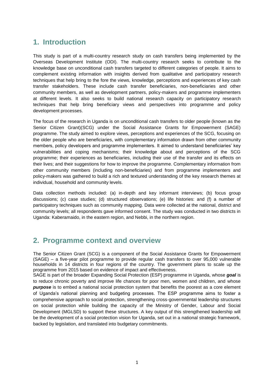### **1. Introduction**

This study is part of a multi-country research study on cash transfers being implemented by the Overseas Development Institute (ODI). The multi-country research seeks to contribute to the knowledge base on unconditional cash transfers targeted to different categories of people. It aims to complement existing information with insights derived from qualitative and participatory research techniques that help bring to the fore the views, knowledge, perceptions and experiences of key cash transfer stakeholders. These include cash transfer beneficiaries, non-beneficiaries and other community members, as well as development partners, policy-makers and programme implementers at different levels. It also seeks to build national research capacity on participatory research techniques that help bring beneficiary views and perspectives into programme and policy development processes.

The focus of the research in Uganda is on unconditional cash transfers to older people (known as the Senior Citizen Grant)(SCG) under the Social Assistance Grants for Empowerment (SAGE) programme. The study aimed to explore views, perceptions and experiences of the SCG, focusing on the older people who are beneficiaries, with complementary information drawn from other community members, policy developers and programme implementers. It aimed to understand beneficiaries' key vulnerabilities and coping mechanisms; their knowledge about and perceptions of the SCG programme; their experiences as beneficiaries, including their use of the transfer and its effects on their lives; and their suggestions for how to improve the programme. Complementary information from other community members (including non-beneficiaries) and from programme implementers and policy-makers was gathered to build a rich and textured understanding of the key research themes at individual, household and community levels.

Data collection methods included: (a) in-depth and key informant interviews; (b) focus group discussions; (c) case studies; (d) structured observations; (e) life histories: and (f) a number of participatory techniques such as community mapping. Data were collected at the national, district and community levels; all respondents gave informed consent. The study was conducted in two districts in Uganda: Kaberamaido, in the eastern region, and Nebbi, in the northern region.

### **2. Programme context and overview**

The Senior Citizen Grant (SCG) is a component of the Social Assistance Grants for Empowerment (SAGE) – a five-year pilot programme to provide regular cash transfers to over 95,000 vulnerable households in 14 districts in four regions of the country. The government plans to scale up the programme from 2015 based on evidence of impact and effectiveness.

SAGE is part of the broader Expanding Social Protection (ESP) programme in Uganda, whose *goal* is to reduce chronic poverty and improve life chances for poor men, women and children, and whose **purpose** is to embed a national social protection system that benefits the poorest as a core element of Uganda's national planning and budgeting processes. The ESP programme aims to foster a comprehensive approach to social protection, strengthening cross-governmental leadership structures on social protection while building the capacity of the Ministry of Gender, Labour and Social Development (MGLSD) to support these structures. A key output of this strengthened leadership will be the development of a social protection vision for Uganda, set out in a national strategic framework, backed by legislation, and translated into budgetary commitments.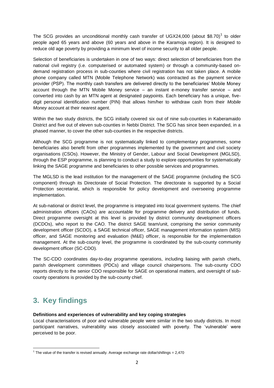The SCG provides an unconditional monthly cash transfer of UGX24,000 (about \$8.70)<sup>1</sup> to older people aged 65 years and above (60 years and above in the Karamoja region). It is designed to reduce old age poverty by providing a minimum level of income security to all older people.

Selection of beneficiaries is undertaken in one of two ways: direct selection of beneficiaries from the national civil registry (i.e. computerised or automated system) or through a community-based ondemand registration process in sub-counties where civil registration has not taken place. A mobile phone company called MTN (Mobile Telephone Network) was contracted as the payment service provider (PSP). The monthly cash transfers are delivered directly to the beneficiaries' Mobile Money account through the MTN Mobile Money service – an instant e-money transfer service – and converted into cash by an MTN agent at designated paypoints. Each beneficiary has a unique, fivedigit personal identification number (PIN) that allows him/her to withdraw cash from their *Mobile Money* account at their nearest agent.

Within the two study districts, the SCG initially covered six out of nine sub-counties in Kaberamaido District and five out of eleven sub-counties in Nebbi District. The SCG has since been expanded, in a phased manner, to cover the other sub-counties in the respective districts.

Although the SCG programme is not systematically linked to complementary programmes, some beneficiaries also benefit from other programmes implemented by the government and civil society organisations (CSOs). However, the Ministry of Gender, Labour and Social Development (MGLSD), through the ESP programme, is planning to conduct a study to explore opportunities for systematically linking the SAGE programme and beneficiaries to other possible services and programmes.

The MGLSD is the lead institution for the management of the SAGE programme (including the SCG component) through its Directorate of Social Protection. The directorate is supported by a Social Protection secretariat, which is responsible for policy development and overseeing programme implementation.

At sub-national or district level, the programme is integrated into local government systems. The chief administration officers (CAOs) are accountable for programme delivery and distribution of funds. Direct programme oversight at this level is provided by district community development officers (DCDOs), who report to the CAO. The district SAGE team/unit, comprising the senior community development officer (SCDO), a SAGE technical officer, SAGE management information system (MIS) officer, and SAGE monitoring and evaluation (M&E) officer, is responsible for the implementation management. At the sub-county level, the programme is coordinated by the sub-county community development officer (SC-CDO).

The SC-CDO coordinates day-to-day programme operations, including liaising with parish chiefs, parish development committees (PDCs) and village council chairpersons. The sub-county CDO reports directly to the senior CDO responsible for SAGE on operational matters, and oversight of subcounty operations is provided by the sub-county chief.

## **3. Key findings**

**.** 

#### **Definitions and experiences of vulnerability and key coping strategies**

Local characterisations of poor and vulnerable people were similar in the two study districts. In most participant narratives, vulnerability was closely associated with poverty. The 'vulnerable' were perceived to be poor.

<sup>&</sup>lt;sup>1</sup> The value of the transfer is revised annually. Average exchange rate dollar/shillings = 2,470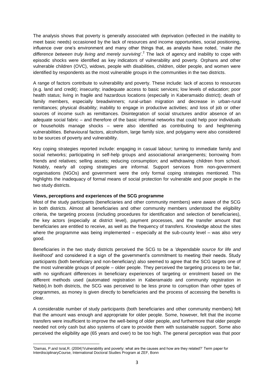The analysis shows that poverty is generally associated with deprivation (reflected in the inability to meet basic needs) occasioned by the lack of resources and income opportunities, social positioning, influence over one's environment and many other things that, as analysts have noted, '*make the*  difference between truly living and merely surviving<sup>'. 2</sup> The lack of agency and inability to cope with episodic shocks were identified as key indicators of vulnerability and poverty. Orphans and other vulnerable children (OVC), widows, people with disabilities, children, older people, and women were identified by respondents as the most vulnerable groups in the communities in the two districts.

A range of factors contribute to vulnerability and poverty. These include: lack of access to resources (e.g. land and credit); insecurity; inadequate access to basic services; low levels of education; poor health status; living in fragile and hazardous locations (especially in Kaberamaido district); death of family members, especially breadwinners; rural-urban migration and decrease in urban-rural remittances; physical disability; inability to engage in productive activities; and loss of job or other sources of income such as remittances. Disintegration of social structures and/or absence of an adequate social fabric – and therefore of the basic informal networks that could help poor individuals or households manage shocks – were also identified as contributing to and heightening vulnerabilities. Behavioural factors, alcoholism, large family size, and polygamy were also considered to be sources of poverty and vulnerability.

Key coping strategies reported include: engaging in casual labour; turning to immediate family and social networks; participating in self-help groups and associational arrangements; borrowing from friends and relatives; selling assets; reducing consumption; and withdrawing children from school. Notably, nearly all coping strategies are informal. Support services from non-government organisations (NGOs) and government were the only formal coping strategies mentioned. This highlights the inadequacy of formal means of social protection for vulnerable and poor people in the two study districts.

#### **Views, perceptions and experiences of the SCG programme**

Most of the study participants (beneficiaries and other community members) were aware of the SCG in both districts. Almost all beneficiaries and other community members understood the eligibility criteria, the targeting process (including procedures for identification and selection of beneficiaries), the key actors (especially at district level), payment processes, and the transfer amount that beneficiaries are entitled to receive, as well as the frequency of transfers. Knowledge about the sites where the programme was being implemented – especially at the sub-county level – was also very good.

Beneficiaries in the two study districts perceived the SCG to be a *'dependable source for life and livelihood* and considered it a sign of the government's commitment to meeting their needs. Study participants (both beneficiary and non-beneficiary) also seemed to agree that the SCG targets one of the most vulnerable groups of people – older people. They perceived the targeting process to be fair, with no significant differences in beneficiary experiences of targeting or enrolment based on the different methods used (automated registration in Kaberamaido and community registration in Nebbi).In both districts, the SCG was perceived to be less prone to corruption than other types of programmes, as money is given directly to beneficiaries and the process of accessing the benefits is clear.

A considerable number of study participants (both beneficiaries and other community members) felt that the amount was enough and appropriate for older people. Some, however, felt that the income transfers were insufficient to improve the well-being of older people, and furthermore that older people needed not only cash but also systems of care to provide them with sustainable support. Some also perceived the eligibility age (65 years and over) to be too high. The general perception was that poor

<sup>1</sup> <sup>2</sup>Damas, P.and Israt,R. (2004)'Vulnerability and poverty: what are the causes and how are they related?' Term paper for InterdisciplinaryCourse, International Doctoral Studies Program at ZEF, Bonn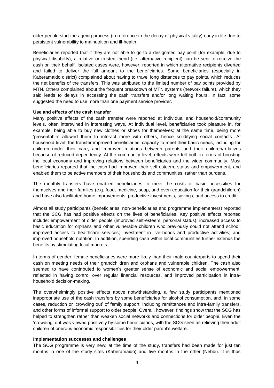older people start the ageing process (in reference to the decay of physical vitality) early in life due to persistent vulnerability to malnutrition and ill-health.

Beneficiaries reported that if they are not able to go to a designated pay point (for example, due to physical disability), a relative or trusted friend (i.e. alternative recipient) can be sent to receive the cash on their behalf. Isolated cases were, however, reported in which alternative recipients diverted and failed to deliver the full amount to the beneficiaries. Some beneficiaries (especially in Kaberamaido district) complained about having to travel long distances to pay points, which reduces the net benefits of the transfers. This was attributed to the limited number of pay points provided by MTN. Others complained about the frequent breakdown of MTN systems (network failure), which they said leads to delays in accessing the cash transfers and/or long waiting hours. In fact, some suggested the need to use more than one payment service provider.

#### **Use and effects of the cash transfer**

Many positive effects of the cash transfer were reported at individual and household/community levels, often intertwined in interesting ways. At individual level, beneficiaries took pleasure in, for example, being able to buy new clothes or shoes for themselves; at the same time, being more 'presentable' allowed them to interact more with others, hence solidifying social contacts. At household level, the transfer improved beneficiaries' capacity to meet their basic needs, including for children under their care, and improved relations between parents and their children/relatives because of reduced dependency. At the community level, effects were felt both in terms of boosting the local economy and improving relations between beneficiaries and the wider community. Most beneficiaries reported that the cash had improved their self-esteem, status and empowerment, and enabled them to be active members of their households and communities, rather than burdens.

The monthly transfers have enabled beneficiaries to meet the costs of basic necessities for themselves and their families (e.g. food, medicine, soap, and even education for their grandchildren) and have also facilitated home improvements, productive investments, savings, and access to credit.

Almost all study participants (beneficiaries, non-beneficiaries and programme implementers) reported that the SCG has had positive effects on the lives of beneficiaries. Key positive effects reported include: empowerment of older people (improved self-esteem, personal status); increased access to basic education for orphans and other vulnerable children who previously could not attend school; improved access to healthcare services; investment in livelihoods and productive activities; and improved household nutrition. In addition, spending cash within local communities further extends the benefits by stimulating local markets.

In terms of gender, female beneficiaries were more likely than their male counterparts to spend their cash on meeting needs of their grandchildren and orphans and vulnerable children. The cash also seemed to have contributed to women's greater sense of economic and social empowerment, reflected in having control over regular financial resources, and improved participation in intrahousehold decision-making.

The overwhelmingly positive effects above notwithstanding, a few study participants mentioned inappropriate use of the cash transfers by some beneficiaries for alcohol consumption, and, in some cases, reduction or 'crowding out' of family support, including remittances and intra-family transfers, and other forms of informal support to older people. Overall, however, findings show that the SCG has helped to strengthen rather than weaken social networks and connections for older people. Even the 'crowding' out was viewed positively by some beneficiaries, with the SCG seen as relieving their adult children of onerous economic responsibilities for their older parent's welfare.

#### **Implementation successes and challenges**

The SCG programme is very new; at the time of the study, transfers had been made for just ten months in one of the study sites (Kaberamaido) and five months in the other (Nebbi). It is thus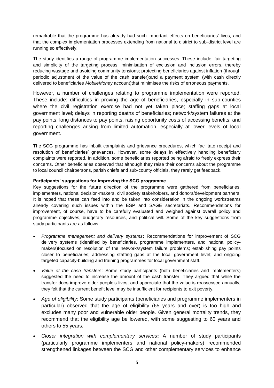remarkable that the programme has already had such important effects on beneficiaries' lives, and that the complex implementation processes extending from national to district to sub-district level are running so effectively.

The study identifies a range of programme implementation successes. These include: fair targeting and simplicity of the targeting process; minimisation of exclusion and inclusion errors, thereby reducing wastage and avoiding community tensions; protecting beneficiaries against inflation (through periodic adjustment of the value of the cash transfer);and a payment system (with cash directly delivered to beneficiaries *MobileMone*y account)that minimises the risks of erroneous payments.

However, a number of challenges relating to programme implementation were reported. These include: difficulties in proving the age of beneficiaries, especially in sub-counties where the civil registration exercise had not yet taken place; staffing gaps at local government level; delays in reporting deaths of beneficiaries; network/system failures at the pay points; long distances to pay points, raising opportunity costs of accessing benefits; and reporting challenges arising from limited automation, especially at lower levels of local government.

The SCG programme has inbuilt complaints and grievance procedures, which facilitate receipt and resolution of beneficiaries' grievances. However, some delays in effectively handling beneficiary complaints were reported. In addition, some beneficiaries reported being afraid to freely express their concerns. Other beneficiaries observed that although they raise their concerns about the programme to local council chairpersons, parish chiefs and sub-county officials, they rarely get feedback.

#### **Participants' suggestions for improving the SCG programme**

Key suggestions for the future direction of the programme were gathered from beneficiaries, implementers, national decision-makers, civil society stakeholders, and donors/development partners. It is hoped that these can feed into and be taken into consideration in the ongoing workstreams already covering such issues within the ESP and SAGE secretariats. Recommendations for improvement, of course, have to be carefully evaluated and weighed against overall policy and programme objectives, budgetary resources, and political will. Some of the key suggestions from study participants are as follows.

- *Programme management and delivery systems***:** Recommendations for improvement of SCG delivery systems (identified by beneficiaries, programme implementers, and national policymakers)focused on resolution of the network/system failure problems; establishing pay points closer to beneficiaries; addressing staffing gaps at the local government level; and ongoing targeted capacity-building and training programmes for local government staff*.*
- *Value of the cash transfers*: Some study participants (both beneficiaries and implementers) suggested the need to increase the amount of the cash transfer. They argued that while the transfer does improve older people's lives, and appreciate that the value is reassessed annually, they felt that the current benefit level may be insufficient for recipients to exit poverty.
- *Age of eligibility*: Some study participants (beneficiaries and programme implementers in particular) observed that the age of eligibility (65 years and over) is too high and excludes many poor and vulnerable older people. Given general mortality trends, they recommend that the eligibility age be lowered, with some suggesting to 60 years and others to 55 years.
- *Closer integration with complementary services***:** A number of study participants (particularly programme implementers and national policy-makers) recommended strengthened linkages between the SCG and other complementary services to enhance